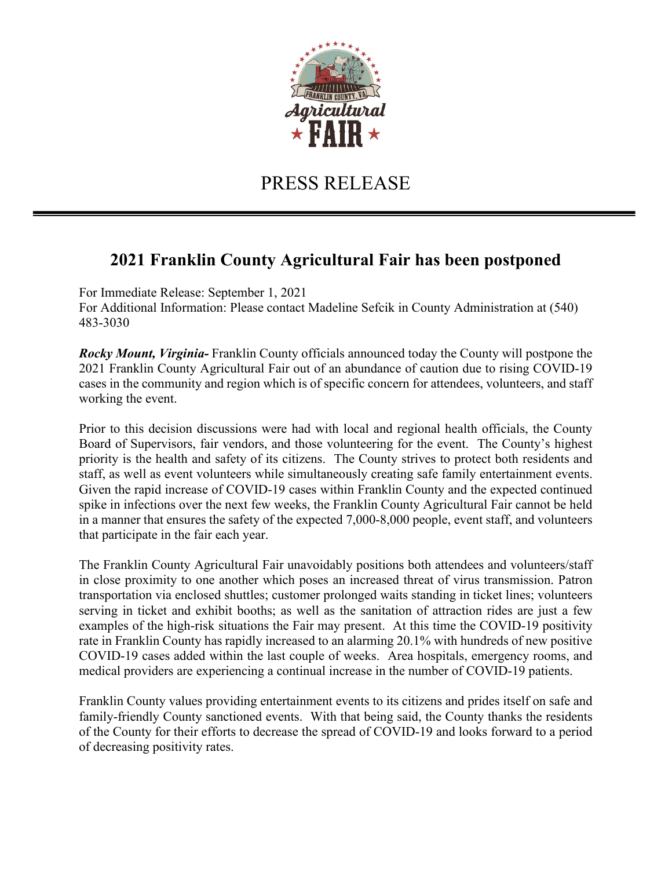

## PRESS RELEASE

## **2021 Franklin County Agricultural Fair has been postponed**

For Immediate Release: September 1, 2021 For Additional Information: Please contact Madeline Sefcik in County Administration at (540) 483-3030

*Rocky Mount, Virginia-* Franklin County officials announced today the County will postpone the 2021 Franklin County Agricultural Fair out of an abundance of caution due to rising COVID-19 cases in the community and region which is of specific concern for attendees, volunteers, and staff working the event.

Prior to this decision discussions were had with local and regional health officials, the County Board of Supervisors, fair vendors, and those volunteering for the event. The County's highest priority is the health and safety of its citizens. The County strives to protect both residents and staff, as well as event volunteers while simultaneously creating safe family entertainment events. Given the rapid increase of COVID-19 cases within Franklin County and the expected continued spike in infections over the next few weeks, the Franklin County Agricultural Fair cannot be held in a manner that ensures the safety of the expected 7,000-8,000 people, event staff, and volunteers that participate in the fair each year.

The Franklin County Agricultural Fair unavoidably positions both attendees and volunteers/staff in close proximity to one another which poses an increased threat of virus transmission. Patron transportation via enclosed shuttles; customer prolonged waits standing in ticket lines; volunteers serving in ticket and exhibit booths; as well as the sanitation of attraction rides are just a few examples of the high-risk situations the Fair may present. At this time the COVID-19 positivity rate in Franklin County has rapidly increased to an alarming 20.1% with hundreds of new positive COVID-19 cases added within the last couple of weeks. Area hospitals, emergency rooms, and medical providers are experiencing a continual increase in the number of COVID-19 patients.

Franklin County values providing entertainment events to its citizens and prides itself on safe and family-friendly County sanctioned events. With that being said, the County thanks the residents of the County for their efforts to decrease the spread of COVID-19 and looks forward to a period of decreasing positivity rates.